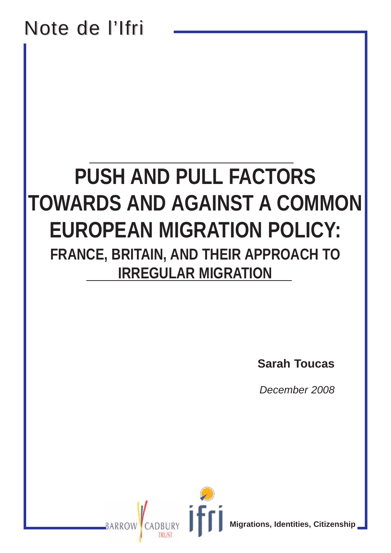# Note de l'Ifri

# **PUSH AND PULL FACTORS TOWARDS AND AGAINST A COMMON EUROPEAN MIGRATION POLICY: FRANCE, BRITAIN, AND THEIR APPROACH TO IRREGULAR MIGRATION**

**Sarah Toucas**

*December 2008*

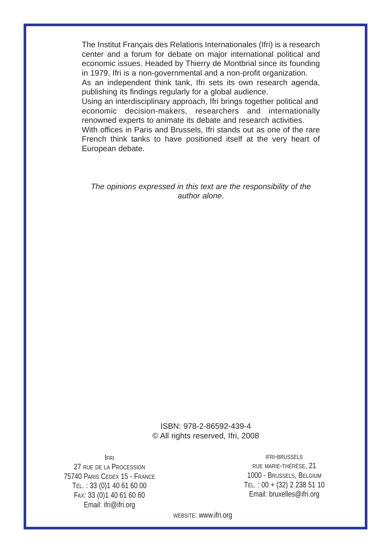The Institut Français des Relations Internationales (Ifri) is a research center and a forum for debate on major international political and economic issues. Headed by Thierry de Montbrial since its founding in 1979, Ifri is a non-governmental and a non-profit organization.

As an independent think tank, Ifri sets its own research agenda, publishing its findings regularly for a global audience.

Using an interdisciplinary approach, Ifri brings together political and economic decision-makers, researchers and internationally renowned experts to animate its debate and research activities.

With offices in Paris and Brussels, Ifri stands out as one of the rare French think tanks to have positioned itself at the very heart of European debate.

*The opinions expressed in this text are the responsibility of the author alone*.

#### ISBN: 978-2-86592-439-4 © All rights reserved, Ifri, 2008

IFRI

27 RUE DE LA PROCESSION 75740 PARIS CEDEX 15 - FRANCE TÉL. : 33 (0)1 40 61 60 00 FAX: 33 (0)1 40 61 60 60 Email: ifri@ifri.org

IFRI-BRUSSELS RUE MARIE-THÉRÈSE, 21 1000 - BRUSSELS, BELGIUM TÉL. : 00 + (32) 2 238 51 10 Email: bruxelles@ifri.org

WEBSITE: www.ifri.org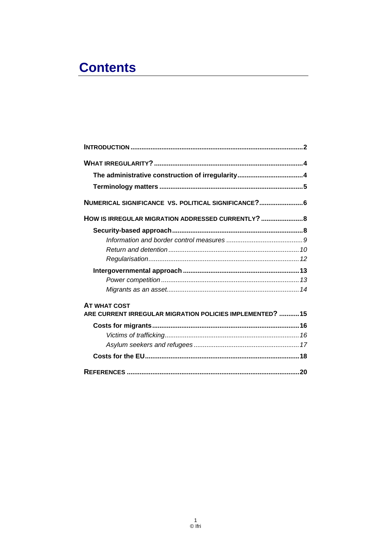# **Contents**

| NUMERICAL SIGNIFICANCE VS. POLITICAL SIGNIFICANCE? 6                             |  |
|----------------------------------------------------------------------------------|--|
| HOW IS IRREGULAR MIGRATION ADDRESSED CURRENTLY?  8                               |  |
|                                                                                  |  |
|                                                                                  |  |
|                                                                                  |  |
|                                                                                  |  |
|                                                                                  |  |
|                                                                                  |  |
|                                                                                  |  |
| <b>AT WHAT COST</b><br>ARE CURRENT IRREGULAR MIGRATION POLICIES IMPLEMENTED?  15 |  |
|                                                                                  |  |
|                                                                                  |  |
|                                                                                  |  |
|                                                                                  |  |
|                                                                                  |  |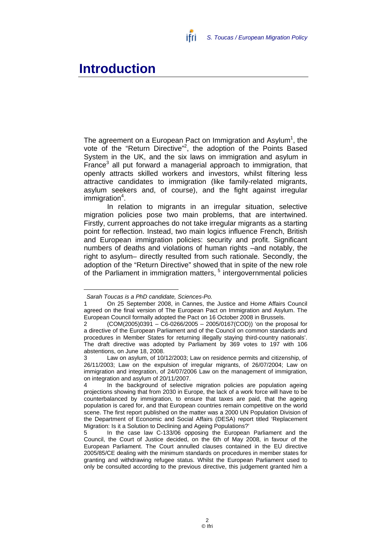

## **Introduction**

The agreement on a European Pact on Immigration and Asylum<sup>1</sup>, the vote of the "Return Directive"<sup>2</sup>, the adoption of the Points Based System in the UK, and the six laws on immigration and asylum in France<sup>3</sup> all put forward a managerial approach to immigration, that openly attracts skilled workers and investors, whilst filtering less attractive candidates to immigration (like family-related migrants, asylum seekers and, of course), and the fight against irregular immigration<sup>4</sup>.

In relation to migrants in an irregular situation, selective migration policies pose two main problems, that are intertwined. Firstly, current approaches do not take irregular migrants as a starting point for reflection. Instead, two main logics influence French, British and European immigration policies: security and profit. Significant numbers of deaths and violations of human rights –and notably, the right to asylum– directly resulted from such rationale. Secondly, the adoption of the "Return Directive" showed that in spite of the new role of the Parliament in immigration matters, 5 intergovernmental policies

*Sarah Toucas is a PhD candidate, Sciences-Po.*

<sup>1</sup> On 25 September 2008, in Cannes, the Justice and Home Affairs Council agreed on the final version of The European Pact on Immigration and Asylum. The European Council formally adopted the Pact on 16 October 2008 in Brussels.

<sup>2 (</sup>COM(2005)0391 – C6-0266/2005 – 2005/0167(COD)) 'on the proposal for a directive of the European Parliament and of the Council on common standards and procedures in Member States for returning illegally staying third-country nationals'. The draft directive was adopted by Parliament by 369 votes to 197 with 106 abstentions, on June 18, 2008.

<sup>3</sup> Law on asylum, of 10/12/2003; Law on residence permits and citizenship, of 26/11/2003; Law on the expulsion of irregular migrants, of 26/07/2004; Law on immigration and integration, of 24/07/2006 Law on the management of immigration, on integration and asylum of 20/11/2007.

In the background of selective migration policies are population ageing projections showing that from 2030 in Europe, the lack of a work force will have to be counterbalanced by immigration, to ensure that taxes are paid, that the ageing population is cared for, and that European countries remain competitive on the world scene. The first report published on the matter was a 2000 UN Population Division of the Department of Economic and Social Affairs (DESA) report titled 'Replacement Migration: Is it a Solution to Declining and Ageing Populations?'

<sup>5</sup> In the case law C-133/06 opposing the European Parliament and the Council, the Court of Justice decided, on the 6th of May 2008, in favour of the European Parliament. The Court annulled clauses contained in the EU directive 2005/85/CE dealing with the minimum standards on procedures in member states for granting and withdrawing refugee status. Whilst the European Parliament used to only be consulted according to the previous directive, this judgement granted him a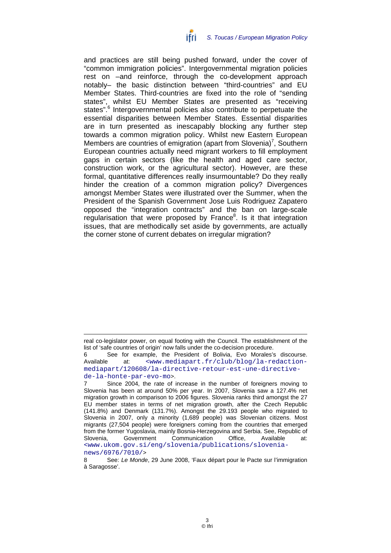and practices are still being pushed forward, under the cover of "common immigration policies". Intergovernmental migration policies rest on –and reinforce, through the co-development approach notably– the basic distinction between "third-countries" and EU Member States. Third-countries are fixed into the role of "sending states", whilst EU Member States are presented as "receiving states".<sup>6</sup> Intergovernmental policies also contribute to perpetuate the essential disparities between Member States. Essential disparities are in turn presented as inescapably blocking any further step towards a common migration policy. Whilst new Eastern European Members are countries of emigration (apart from Slovenia)<sup>7</sup>, Southern European countries actually need migrant workers to fill employment gaps in certain sectors (like the health and aged care sector, construction work, or the agricultural sector). However, are these formal, quantitative differences really insurmountable? Do they really hinder the creation of a common migration policy? Divergences amongst Member States were illustrated over the Summer, when the President of the Spanish Government Jose Luis Rodriguez Zapatero opposed the "integration contracts" and the ban on large-scale regularisation that were proposed by France<sup>8</sup>. Is it that integration issues, that are methodically set aside by governments, are actually the corner stone of current debates on irregular migration?

news/6976/7010/>

real co-legislator power, on equal footing with the Council. The establishment of the list of 'safe countries of origin' now falls under the co-decision procedure.

<sup>6</sup> See for example, the President of Bolivia, Evo Morales's discourse. Available at: <www.mediapart.fr/club/blog/la-redactionmediapart/120608/la-directive-retour-est-une-directivede-la-honte-par-evo-mo>.

Since 2004, the rate of increase in the number of foreigners moving to Slovenia has been at around 50% per year. In 2007, Slovenia saw a 127.4% net migration growth in comparison to 2006 figures. Slovenia ranks third amongst the 27 EU member states in terms of net migration growth, after the Czech Republic (141.8%) and Denmark (131.7%). Amongst the 29.193 people who migrated to Slovenia in 2007, only a minority (1,689 people) was Slovenian citizens. Most migrants (27,504 people) were foreigners coming from the countries that emerged from the former Yugoslavia, mainly Bosnia-Herzegovina and Serbia. See, Republic of Slovenia, Government Communication Office, Available at: <www.ukom.gov.si/eng/slovenia/publications/slovenia-

<sup>8</sup> See: *Le Monde*, 29 June 2008, 'Faux départ pour le Pacte sur l'immigration à Saragosse'.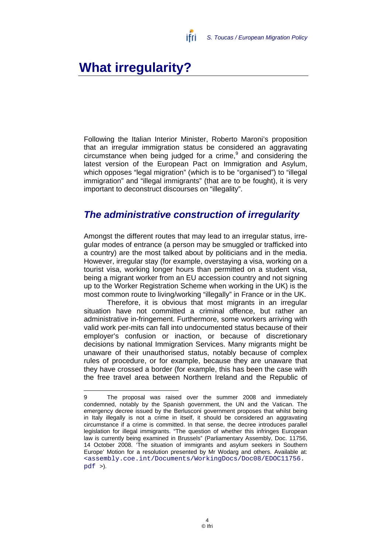

# **What irregularity?**

Following the Italian Interior Minister, Roberto Maroni's proposition that an irregular immigration status be considered an aggravating circumstance when being judged for a crime, $9$  and considering the latest version of the European Pact on Immigration and Asylum, which opposes "legal migration" (which is to be "organised") to "illegal immigration" and "illegal immigrants" (that are to be fought), it is very important to deconstruct discourses on "illegality".

## *The administrative construction of irregularity*

Amongst the different routes that may lead to an irregular status, irregular modes of entrance (a person may be smuggled or trafficked into a country) are the most talked about by politicians and in the media. However, irregular stay (for example, overstaying a visa, working on a tourist visa, working longer hours than permitted on a student visa, being a migrant worker from an EU accession country and not signing up to the Worker Registration Scheme when working in the UK) is the most common route to living/working "illegally" in France or in the UK.

Therefore, it is obvious that most migrants in an irregular situation have not committed a criminal offence, but rather an administrative in-fringement. Furthermore, some workers arriving with valid work per-mits can fall into undocumented status because of their employer's confusion or inaction, or because of discretionary decisions by national Immigration Services. Many migrants might be unaware of their unauthorised status, notably because of complex rules of procedure, or for example, because they are unaware that they have crossed a border (for example, this has been the case with the free travel area between Northern Ireland and the Republic of

 $\overline{a}$ 9 The proposal was raised over the summer 2008 and immediately condemned, notably by the Spanish government, the UN and the Vatican. The emergency decree issued by the Berlusconi government proposes that whilst being in Italy illegally is not a crime in itself, it should be considered an aggravating circumstance if a crime is committed. In that sense, the decree introduces parallel legislation for illegal immigrants. "The question of whether this infringes European law is currently being examined in Brussels" (Parliamentary Assembly, Doc. 11756, 14 October 2008. 'The situation of immigrants and asylum seekers in Southern Europe' Motion for a resolution presented by Mr Wodarg and others. Available at: <assembly.coe.int/Documents/WorkingDocs/Doc08/EDOC11756. pdf >).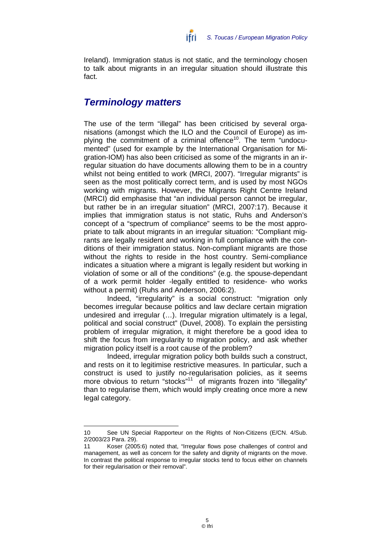Ireland). Immigration status is not static, and the terminology chosen to talk about migrants in an irregular situation should illustrate this fact.

### *Terminology matters*

The use of the term "illegal" has been criticised by several organisations (amongst which the ILO and the Council of Europe) as implying the commitment of a criminal offence<sup>10</sup>. The term "undocumented" (used for example by the International Organisation for Migration-IOM) has also been criticised as some of the migrants in an irregular situation do have documents allowing them to be in a country whilst not being entitled to work (MRCI, 2007). "Irregular migrants" is seen as the most politically correct term, and is used by most NGOs working with migrants. However, the Migrants Right Centre Ireland (MRCI) did emphasise that "an individual person cannot be irregular, but rather be in an irregular situation" (MRCI, 2007:17). Because it implies that immigration status is not static, Ruhs and Anderson's concept of a "spectrum of compliance" seems to be the most appropriate to talk about migrants in an irregular situation: "Compliant migrants are legally resident and working in full compliance with the conditions of their immigration status. Non-compliant migrants are those without the rights to reside in the host country. Semi-compliance indicates a situation where a migrant is legally resident but working in violation of some or all of the conditions" (e.g. the spouse-dependant of a work permit holder -legally entitled to residence- who works without a permit) (Ruhs and Anderson, 2006:2).

Indeed, "irregularity" is a social construct: "migration only becomes irregular because politics and law declare certain migration undesired and irregular (…). Irregular migration ultimately is a legal, political and social construct" (Duvel, 2008). To explain the persisting problem of irregular migration, it might therefore be a good idea to shift the focus from irregularity to migration policy, and ask whether migration policy itself is a root cause of the problem?

Indeed, irregular migration policy both builds such a construct, and rests on it to legitimise restrictive measures. In particular, such a construct is used to justify no-regularisation policies, as it seems more obvious to return "stocks"<sup>11</sup> of migrants frozen into "illegality" than to regularise them, which would imply creating once more a new legal category.

<sup>10</sup> See UN Special Rapporteur on the Rights of Non-Citizens (E/CN. 4/Sub. 2/2003/23 Para. 29).

<sup>11</sup> Koser (2005:6) noted that, "Irregular flows pose challenges of control and management, as well as concern for the safety and dignity of migrants on the move. In contrast the political response to irregular stocks tend to focus either on channels for their regularisation or their removal".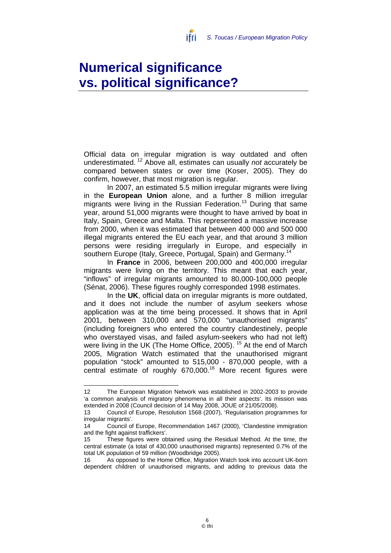# **Numerical significance vs. political significance?**

Official data on irregular migration is way outdated and often underestimated. 12 Above all, estimates can usually *not* accurately be compared between states or over time (Koser, 2005). They do confirm, however, that most migration is regular.

ifri

In 2007, an estimated 5.5 million irregular migrants were living in the **European Union** alone, and a further 8 million irregular migrants were living in the Russian Federation.<sup>13</sup> During that same year, around 51,000 migrants were thought to have arrived by boat in Italy, Spain, Greece and Malta. This represented a massive increase from 2000, when it was estimated that between 400 000 and 500 000 illegal migrants entered the EU each year, and that around 3 million persons were residing irregularly in Europe, and especially in southern Europe (Italy, Greece, Portugal, Spain) and Germany.<sup>14</sup>

In **France** in 2006, between 200,000 and 400,000 irregular migrants were living on the territory. This meant that each year, "inflows" of irregular migrants amounted to 80,000-100,000 people (Sénat, 2006). These figures roughly corresponded 1998 estimates.

In the **UK**, official data on irregular migrants is more outdated, and it does not include the number of asylum seekers whose application was at the time being processed. It shows that in April 2001, between 310,000 and 570,000 "unauthorised migrants" (including foreigners who entered the country clandestinely, people who overstayed visas, and failed asylum-seekers who had not left) were living in the UK (The Home Office, 2005).<sup>15</sup> At the end of March 2005, Migration Watch estimated that the unauthorised migrant population "stock" amounted to 515,000 - 870,000 people, with a central estimate of roughly 670,000.16 More recent figures were

 $\overline{a}$ 12 The European Migration Network was established in 2002-2003 to provide 'a common analysis of migratory phenomena in all their aspects'. Its mission was extended in 2008 (Council decision of 14 May 2008, JOUE of 21/05/2008).

<sup>13</sup> Council of Europe, Resolution 1568 (2007), 'Regularisation programmes for irregular migrants'.

<sup>14</sup> Council of Europe, Recommendation 1467 (2000), 'Clandestine immigration and the fight against traffickers'.

<sup>15</sup> These figures were obtained using the Residual Method. At the time, the central estimate (a total of 430,000 unauthorised migrants) represented 0.7% of the total UK population of 59 million (Woodbridge 2005).

<sup>16</sup> As opposed to the Home Office, Migration Watch took into account UK-born dependent children of unauthorised migrants, and adding to previous data the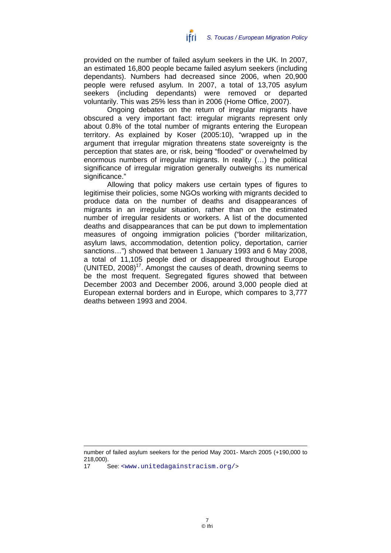provided on the number of failed asylum seekers in the UK. In 2007, an estimated 16,800 people became failed asylum seekers (including dependants). Numbers had decreased since 2006, when 20,900 people were refused asylum. In 2007, a total of 13,705 asylum seekers (including dependants) were removed or departed voluntarily. This was 25% less than in 2006 (Home Office, 2007).

Ongoing debates on the return of irregular migrants have obscured a very important fact: irregular migrants represent only about 0.8% of the total number of migrants entering the European territory. As explained by Koser (2005:10), "wrapped up in the argument that irregular migration threatens state sovereignty is the perception that states are, or risk, being "flooded" or overwhelmed by enormous numbers of irregular migrants. In reality (…) the political significance of irregular migration generally outweighs its numerical significance."

Allowing that policy makers use certain types of figures to legitimise their policies, some NGOs working with migrants decided to produce data on the number of deaths and disappearances of migrants in an irregular situation, rather than on the estimated number of irregular residents or workers. A list of the documented deaths and disappearances that can be put down to implementation measures of ongoing immigration policies ("border militarization, asylum laws, accommodation, detention policy, deportation, carrier sanctions…") showed that between 1 January 1993 and 6 May 2008, a total of 11,105 people died or disappeared throughout Europe (UNITED,  $2008$ )<sup>17</sup>. Amongst the causes of death, drowning seems to be the most frequent. Segregated figures showed that between December 2003 and December 2006, around 3,000 people died at European external borders and in Europe, which compares to 3,777 deaths between 1993 and 2004.

number of failed asylum seekers for the period May 2001- March 2005 (+190,000 to 218,000).

<sup>17</sup> See: <www.unitedagainstracism.org/>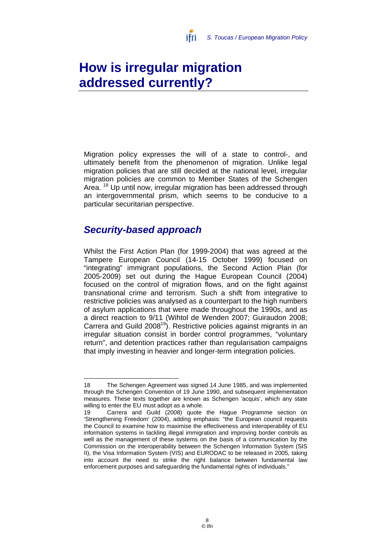

# **How is irregular migration addressed currently?**

Migration policy expresses the will of a state to control-, and ultimately benefit from the phenomenon of migration. Unlike legal migration policies that are still decided at the national level, irregular migration policies are common to Member States of the Schengen Area. <sup>18</sup> Up until now, irregular migration has been addressed through an intergovernmental prism, which seems to be conducive to a particular securitarian perspective.

## *Security-based approach*

Whilst the First Action Plan (for 1999-2004) that was agreed at the Tampere European Council (14-15 October 1999) focused on "integrating" immigrant populations, the Second Action Plan (for 2005-2009) set out during the Hague European Council (2004) focused on the control of migration flows, and on the fight against transnational crime and terrorism. Such a shift from integrative to restrictive policies was analysed as a counterpart to the high numbers of asylum applications that were made throughout the 1990s, and as a direct reaction to 9/11 (Wihtol de Wenden 2007; Guiraudon 2008; Carrera and Guild 2008<sup>19</sup>). Restrictive policies against migrants in an irregular situation consist in border control programmes, "voluntary return", and detention practices rather than regularisation campaigns that imply investing in heavier and longer-term integration policies.

 18 The Schengen Agreement was signed 14 June 1985, and was implemented through the Schengen Convention of 19 June 1990, and subsequent implementation measures. These texts together are known as Schengen 'acquis', which any state willing to enter the EU must adopt as a whole.

Carrera and Guild (2008) quote the Hague Programme section on 'Strengthening Freedom' (2004), adding emphasis: "the European council requests the Council to examine how to maximise the effectiveness and interoperability of EU information systems in tackling illegal immigration and improving border controls as well as the management of these systems on the basis of a communication by the Commission on the interoperability between the Schengen Information System (SIS II), the Visa Information System (VIS) and EURODAC to be released in 2005, taking into account the need to strike the right balance between fundamental law enforcement purposes and safeguarding the fundamental rights of individuals."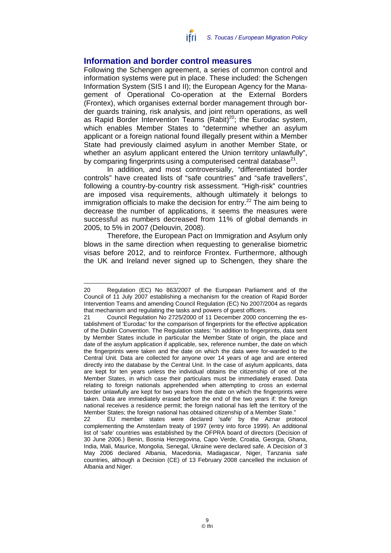

#### **Information and border control measures**

Following the Schengen agreement, a series of common control and information systems were put in place. These included: the Schengen Information System (SIS I and II); the European Agency for the Management of Operational Co-operation at the External Borders (Frontex), which organises external border management through border guards training, risk analysis, and joint return operations, as well as Rapid Border Intervention Teams (Rabit)<sup>20</sup>; the Eurodac system, which enables Member States to "determine whether an asylum applicant or a foreign national found illegally present within a Member State had previously claimed asylum in another Member State, or whether an asylum applicant entered the Union territory unlawfully", by comparing fingerprints using a computerised central database $21$ .

In addition, and most controversially, "differentiated border controls" have created lists of "safe countries" and "safe travellers", following a country-by-country risk assessment. "High-risk" countries are imposed visa requirements, although ultimately it belongs to immigration officials to make the decision for entry.<sup>22</sup> The aim being to decrease the number of applications, it seems the measures were successful as numbers decreased from 11% of global demands in 2005, to 5% in 2007 (Delouvin, 2008).

Therefore, the European Pact on Immigration and Asylum only blows in the same direction when requesting to generalise biometric visas before 2012, and to reinforce Frontex. Furthermore, although the UK and Ireland never signed up to Schengen, they share the

 $\overline{a}$ 20 Regulation (EC) No 863/2007 of the European Parliament and of the Council of 11 July 2007 establishing a mechanism for the creation of Rapid Border Intervention Teams and amending Council Regulation (EC) No 2007/2004 as regards that mechanism and regulating the tasks and powers of guest officers.

<sup>21</sup> Council Regulation No 2725/2000 of 11 December 2000 concerning the establishment of 'Eurodac' for the comparison of fingerprints for the effective application of the Dublin Convention. The Regulation states: "In addition to fingerprints, data sent by Member States include in particular the Member State of origin, the place and date of the asylum application if applicable, sex, reference number, the date on which the fingerprints were taken and the date on which the data were for-warded to the Central Unit. Data are collected for anyone over 14 years of age and are entered directly into the database by the Central Unit. In the case of asylum applicants, data are kept for ten years unless the individual obtains the citizenship of one of the Member States, in which case their particulars must be immediately erased. Data relating to foreign nationals apprehended when attempting to cross an external border unlawfully are kept for two years from the date on which the fingerprints were taken. Data are immediately erased before the end of the two years if: the foreign national receives a residence permit; the foreign national has left the territory of the Member States; the foreign national has obtained citizenship of a Member State."

<sup>22</sup> EU member states were declared 'safe' by the Aznar protocol complementing the Amsterdam treaty of 1997 (entry into force 1999). An additional list of 'safe' countries was established by the OFPRA board of directors (Decision of 30 June 2006.) Benin, Bosnia Herzegovina, Capo Verde, Croatia, Georgia, Ghana, India, Mali, Maurice, Mongolia, Senegal, Ukraine were declared safe. A Decision of 3 May 2006 declared Albania, Macedonia, Madagascar, Niger, Tanzania safe countries, although a Decision (CE) of 13 February 2008 cancelled the inclusion of Albania and Niger.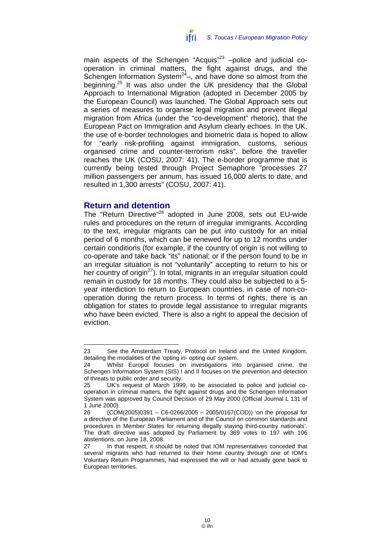

main aspects of the Schengen "Acquis"<sup>23</sup> –police and judicial cooperation in criminal matters, the fight against drugs, and the Schengen Information System $24$ –, and have done so almost from the beginning.<sup>25</sup> It was also under the UK presidency that the Global Approach to International Migration (adopted in December 2005 by the European Council) was launched. The Global Approach sets out a series of measures to organise legal migration and prevent illegal migration from Africa (under the "co-development" rhetoric), that the European Pact on Immigration and Asylum clearly echoes. In the UK, the use of e-border technologies and biometric data is hoped to allow for "early risk-profiling against immigration, customs, serious organised crime and counter-terrorism risks", before the traveller reaches the UK (COSU, 2007: 41). The e-border programme that is currently being tested through Project Semaphore "processes 27 million passengers per annum, has issued 16,000 alerts to date, and resulted in 1,300 arrests" (COSU, 2007: 41).

#### **Return and detention**

The "Return Directive"<sup>26</sup> adopted in June 2008, sets out EU-wide rules and procedures on the return of irregular immigrants. According to the text, irregular migrants can be put into custody for an initial period of 6 months, which can be renewed for up to 12 months under certain conditions (for example, if the country of origin is not willing to co-operate and take back "its" national; or if the person found to be in an irregular situation is not "voluntarily" accepting to return to his or her country of origin $^{27}$ ). In total, migrants in an irregular situation could remain in custody for 18 months. They could also be subjected to a 5 year interdiction to return to European countries, in case of non-cooperation during the return process. In terms of rights, there is an obligation for states to provide legal assistance to irregular migrants who have been evicted. There is also a right to appeal the decision of eviction.

 23 See the Amsterdam Treaty, Protocol on Ireland and the United Kingdom, detailing the modalities of the 'opting in- opting out' system.

<sup>24</sup> Whilst Europol focuses on investigations into organised crime, the Schengen Information System (SIS) I and II focuses on the prevention and detection of threats to public order and security.

<sup>25</sup> UK's request of March 1999, to be associated to police and judicial cooperation in criminal matters, the fight against drugs and the Schengen Information System was approved by Council Decision of 29 May 2000 (Official Journal L 131 of 1 June 2000).

<sup>26 (</sup>COM(2005)0391 – C6-0266/2005 – 2005/0167(COD)) 'on the proposal for a directive of the European Parliament and of the Council on common standards and procedures in Member States for returning illegally staying third-country nationals'. The draft directive was adopted by Parliament by 369 votes to 197 with 106 abstentions, on June 18, 2008.

<sup>27</sup> In that respect, it should be noted that IOM representatives conceded that several migrants who had returned to their home country through one of IOM's Voluntary Return Programmes, had expressed the will or had actually gone back to European territories.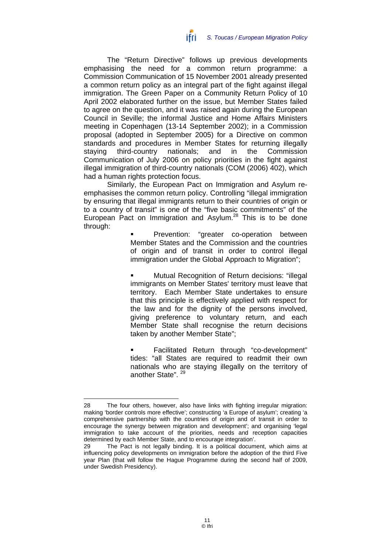The "Return Directive" follows up previous developments emphasising the need for a common return programme: a Commission Communication of 15 November 2001 already presented a common return policy as an integral part of the fight against illegal immigration. The Green Paper on a Community Return Policy of 10 April 2002 elaborated further on the issue, but Member States failed to agree on the question, and it was raised again during the European Council in Seville; the informal Justice and Home Affairs Ministers meeting in Copenhagen (13-14 September 2002); in a Commission proposal (adopted in September 2005) for a Directive on common standards and procedures in Member States for returning illegally staying third-country nationals; and in the Commission Communication of July 2006 on policy priorities in the fight against illegal immigration of third-country nationals (COM (2006) 402), which had a human rights protection focus.

Similarly, the European Pact on Immigration and Asylum reemphasises the common return policy. Controlling "illegal immigration by ensuring that illegal immigrants return to their countries of origin or to a country of transit" is one of the "five basic commitments" of the European Pact on Immigration and Asylum.<sup>28</sup> This is to be done through:

> Prevention: "greater co-operation between Member States and the Commission and the countries of origin and of transit in order to control illegal immigration under the Global Approach to Migration";

> Mutual Recognition of Return decisions: "illegal immigrants on Member States' territory must leave that territory. Each Member State undertakes to ensure that this principle is effectively applied with respect for the law and for the dignity of the persons involved, giving preference to voluntary return, and each Member State shall recognise the return decisions taken by another Member State";

> Facilitated Return through "co-development" tides: "all States are required to readmit their own nationals who are staying illegally on the territory of another State".<sup>29</sup>

<sup>28</sup> The four others, however, also have links with fighting irregular migration: making 'border controls more effective'; constructing 'a Europe of asylum'; creating 'a comprehensive partnership with the countries of origin and of transit in order to encourage the synergy between migration and development'; and organising 'legal immigration to take account of the priorities, needs and reception capacities determined by each Member State, and to encourage integration'.

<sup>29</sup> The Pact is not legally binding. It is a political document, which aims at influencing policy developments on immigration before the adoption of the third Five year Plan (that will follow the Hague Programme during the second half of 2009, under Swedish Presidency).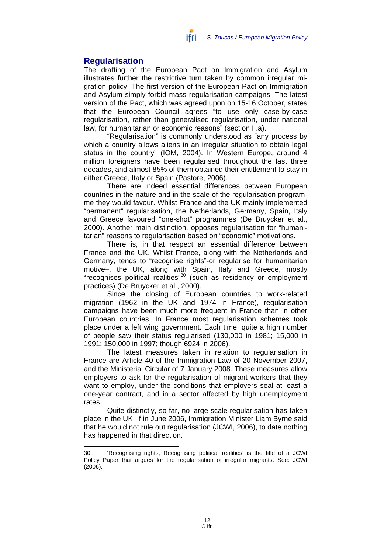#### **Regularisation**

The drafting of the European Pact on Immigration and Asylum illustrates further the restrictive turn taken by common irregular migration policy. The first version of the European Pact on Immigration and Asylum simply forbid mass regularisation campaigns. The latest version of the Pact, which was agreed upon on 15-16 October, states that the European Council agrees "to use only case-by-case regularisation, rather than generalised regularisation, under national law, for humanitarian or economic reasons" (section II.a).

ifri

"Regularisation" is commonly understood as "any process by which a country allows aliens in an irregular situation to obtain legal status in the country" (IOM, 2004). In Western Europe, around 4 million foreigners have been regularised throughout the last three decades, and almost 85% of them obtained their entitlement to stay in either Greece, Italy or Spain (Pastore, 2006).

There are indeed essential differences between European countries in the nature and in the scale of the regularisation programme they would favour. Whilst France and the UK mainly implemented "permanent" regularisation, the Netherlands, Germany, Spain, Italy and Greece favoured "one-shot" programmes (De Bruycker et al., 2000). Another main distinction, opposes regularisation for "humanitarian" reasons to regularisation based on "economic" motivations.

There is, in that respect an essential difference between France and the UK. Whilst France, along with the Netherlands and Germany, tends to "recognise rights"-or regularise for humanitarian motive–, the UK, along with Spain, Italy and Greece, mostly "recognises political realities"30 (such as residency or employment practices) (De Bruycker et al., 2000).

Since the closing of European countries to work-related migration (1962 in the UK and 1974 in France), regularisation campaigns have been much more frequent in France than in other European countries. In France most regularisation schemes took place under a left wing government. Each time, quite a high number of people saw their status regularised (130,000 in 1981; 15,000 in 1991; 150,000 in 1997; though 6924 in 2006).

The latest measures taken in relation to regularisation in France are Article 40 of the Immigration Law of 20 November 2007, and the Ministerial Circular of 7 January 2008. These measures allow employers to ask for the regularisation of migrant workers that they want to employ, under the conditions that employers seal at least a one-year contract, and in a sector affected by high unemployment rates.

Quite distinctly, so far, no large-scale regularisation has taken place in the UK. If in June 2006, Immigration Minister Liam Byrne said that he would not rule out regularisation (JCWI, 2006), to date nothing has happened in that direction.

<sup>30 &#</sup>x27;Recognising rights, Recognising political realities' is the title of a JCWI Policy Paper that argues for the regularisation of irregular migrants. See: JCWI (2006).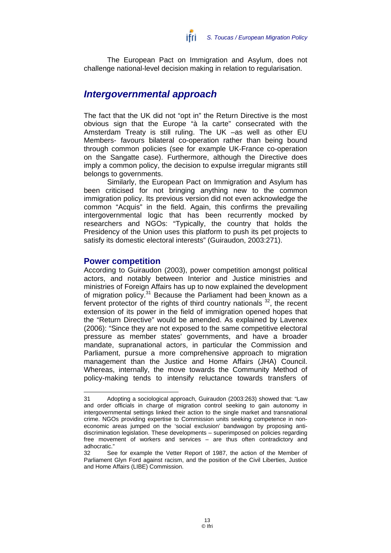

The European Pact on Immigration and Asylum, does not challenge national-level decision making in relation to regularisation.

## *Intergovernmental approach*

The fact that the UK did not "opt in" the Return Directive is the most obvious sign that the Europe "à la carte" consecrated with the Amsterdam Treaty is still ruling. The UK –as well as other EU Members- favours bilateral co-operation rather than being bound through common policies (see for example UK-France co-operation on the Sangatte case). Furthermore, although the Directive does imply a common policy, the decision to expulse irregular migrants still belongs to governments.

Similarly, the European Pact on Immigration and Asylum has been criticised for not bringing anything new to the common immigration policy. Its previous version did not even acknowledge the common "Acquis" in the field. Again, this confirms the prevailing intergovernmental logic that has been recurrently mocked by researchers and NGOs: "Typically, the country that holds the Presidency of the Union uses this platform to push its pet projects to satisfy its domestic electoral interests" (Guiraudon, 2003:271).

#### **Power competition**

According to Guiraudon (2003), power competition amongst political actors, and notably between Interior and Justice ministries and ministries of Foreign Affairs has up to now explained the development of migration policy.<sup>31</sup> Because the Parliament had been known as a fervent protector of the rights of third country nationals  $32$ , the recent extension of its power in the field of immigration opened hopes that the "Return Directive" would be amended. As explained by Lavenex (2006): "Since they are not exposed to the same competitive electoral pressure as member states' governments, and have a broader mandate, supranational actors, in particular the Commission and Parliament, pursue a more comprehensive approach to migration management than the Justice and Home Affairs (JHA) Council. Whereas, internally, the move towards the Community Method of policy-making tends to intensify reluctance towards transfers of

<sup>31</sup> Adopting a sociological approach, Guiraudon (2003:263) showed that: "Law and order officials in charge of migration control seeking to gain autonomy in intergovernmental settings linked their action to the single market and transnational crime. NGOs providing expertise to Commission units seeking competence in noneconomic areas jumped on the 'social exclusion' bandwagon by proposing antidiscrimination legislation. These developments – superimposed on policies regarding free movement of workers and services – are thus often contradictory and adhocratic."

<sup>32</sup> See for example the Vetter Report of 1987, the action of the Member of Parliament Glyn Ford against racism, and the position of the Civil Liberties, Justice and Home Affairs (LIBE) Commission.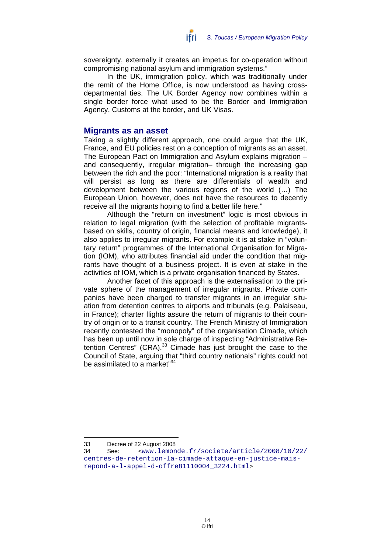sovereignty, externally it creates an impetus for co-operation without compromising national asylum and immigration systems."

In the UK, immigration policy, which was traditionally under the remit of the Home Office, is now understood as having crossdepartmental ties. The UK Border Agency now combines within a single border force what used to be the Border and Immigration Agency, Customs at the border, and UK Visas.

#### **Migrants as an asset**

Taking a slightly different approach, one could argue that the UK, France, and EU policies rest on a conception of migrants as an asset. The European Pact on Immigration and Asylum explains migration – and consequently, irregular migration– through the increasing gap between the rich and the poor: "International migration is a reality that will persist as long as there are differentials of wealth and development between the various regions of the world (…) The European Union, however, does not have the resources to decently receive all the migrants hoping to find a better life here."

Although the "return on investment" logic is most obvious in relation to legal migration (with the selection of profitable migrantsbased on skills, country of origin, financial means and knowledge), it also applies to irregular migrants. For example it is at stake in "voluntary return" programmes of the International Organisation for Migration (IOM), who attributes financial aid under the condition that migrants have thought of a business project. It is even at stake in the activities of IOM, which is a private organisation financed by States.

Another facet of this approach is the externalisation to the private sphere of the management of irregular migrants. Private companies have been charged to transfer migrants in an irregular situation from detention centres to airports and tribunals (e.g. Palaiseau, in France); charter flights assure the return of migrants to their country of origin or to a transit country. The French Ministry of Immigration recently contested the "monopoly" of the organisation Cimade, which has been up until now in sole charge of inspecting "Administrative Retention Centres"  $(CRA)^{33}$  Cimade has just brought the case to the Council of State, arguing that "third country nationals" rights could not be assimilated to a market"<sup>34</sup>

<sup>33</sup> Decree of 22 August 2008

<sup>34</sup> See: <www.lemonde.fr/societe/article/2008/10/22/ centres-de-retention-la-cimade-attaque-en-justice-maisrepond-a-l-appel-d-offre81110004\_3224.html>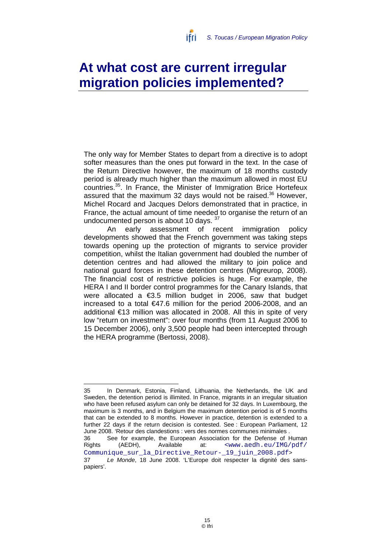# **At what cost are current irregular migration policies implemented?**

The only way for Member States to depart from a directive is to adopt softer measures than the ones put forward in the text. In the case of the Return Directive however, the maximum of 18 months custody period is already much higher than the maximum allowed in most EU countries.35. In France, the Minister of Immigration Brice Hortefeux assured that the maximum 32 days would not be raised.<sup>36</sup> However, Michel Rocard and Jacques Delors demonstrated that in practice, in France, the actual amount of time needed to organise the return of an undocumented person is about 10 days. 37

An early assessment of recent immigration policy developments showed that the French government was taking steps towards opening up the protection of migrants to service provider competition, whilst the Italian government had doubled the number of detention centres and had allowed the military to join police and national guard forces in these detention centres (Migreurop, 2008). The financial cost of restrictive policies is huge. For example, the HERA I and II border control programmes for the Canary Islands, that were allocated a €3.5 million budget in 2006, saw that budget increased to a total €47.6 million for the period 2006-2008, and an additional €13 million was allocated in 2008. All this in spite of very low "return on investment": over four months (from 11 August 2006 to 15 December 2006), only 3,500 people had been intercepted through the HERA programme (Bertossi, 2008).

<sup>35</sup> In Denmark, Estonia, Finland, Lithuania, the Netherlands, the UK and Sweden, the detention period is illimited. In France, migrants in an irregular situation who have been refused asylum can only be detained for 32 days. In Luxembourg, the maximum is 3 months, and in Belgium the maximum detention period is of 5 months that can be extended to 8 months. However in practice, detention is extended to a further 22 days if the return decision is contested. See : European Parliament, 12 June 2008. 'Retour des clandestions : vers des normes communes minimales . 36 See for example, the European Association for the Defense of Human Rights (AEDH), Available at: <www.aedh.eu/IMG/pdf/

Communique sur la Directive Retour- 19 juin 2008.pdf> 37 *Le Monde*, 18 June 2008. 'L'Europe doit respecter la dignité des sanspapiers'.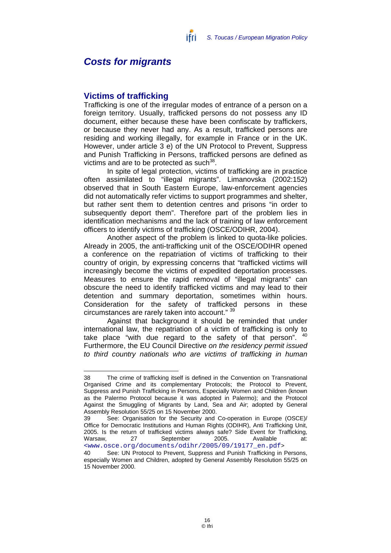### *Costs for migrants*

#### **Victims of trafficking**

 $\overline{a}$ 

Trafficking is one of the irregular modes of entrance of a person on a foreign territory. Usually, trafficked persons do not possess any ID document, either because these have been confiscate by traffickers, or because they never had any. As a result, trafficked persons are residing and working illegally, for example in France or in the UK. However, under article 3 e) of the UN Protocol to Prevent, Suppress and Punish Trafficking in Persons, trafficked persons are defined as victims and are to be protected as such $38$ .

In spite of legal protection, victims of trafficking are in practice often assimilated to "illegal migrants". Limanovska (2002:152) observed that in South Eastern Europe, law-enforcement agencies did not automatically refer victims to support programmes and shelter, but rather sent them to detention centres and prisons "in order to subsequently deport them". Therefore part of the problem lies in identification mechanisms and the lack of training of law enforcement officers to identify victims of trafficking (OSCE/ODIHR, 2004).

Another aspect of the problem is linked to quota-like policies. Already in 2005, the anti-trafficking unit of the OSCE/ODIHR opened a conference on the repatriation of victims of trafficking to their country of origin, by expressing concerns that "trafficked victims will increasingly become the victims of expedited deportation processes. Measures to ensure the rapid removal of "illegal migrants" can obscure the need to identify trafficked victims and may lead to their detention and summary deportation, sometimes within hours. Consideration for the safety of trafficked persons in these circumstances are rarely taken into account." 39

Against that background it should be reminded that under international law, the repatriation of a victim of trafficking is only to take place "with due regard to the safety of that person". <sup>40</sup> Furthermore, the EU Council Directive *on the residency permit issued to third country nationals who are victims of trafficking in human* 

<sup>38</sup> The crime of trafficking itself is defined in the Convention on Transnational Organised Crime and its complementary Protocols; the Protocol to Prevent, Suppress and Punish Trafficking in Persons, Especially Women and Children (known as the Palermo Protocol because it was adopted in Palermo); and the Protocol Against the Smuggling of Migrants by Land, Sea and Air; adopted by General Assembly Resolution 55/25 on 15 November 2000.

<sup>39</sup> See: Organisation for the Security and Co-operation in Europe (OSCE)/ Office for Democratic Institutions and Human Rights (ODIHR), Anti Trafficking Unit, 2005. Is the return of trafficked victims always safe? Side Event for Trafficking, Warsaw. 27 September 2005. Available <www.osce.org/documents/odihr/2005/09/19177\_en.pdf>

<sup>40</sup> See: UN Protocol to Prevent, Suppress and Punish Trafficking in Persons, especially Women and Children, adopted by General Assembly Resolution 55/25 on 15 November 2000.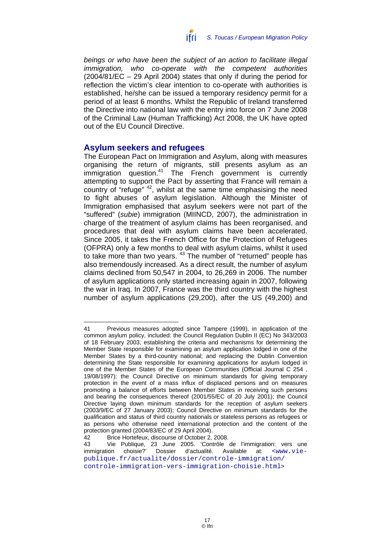

*beings or who have been the subject of an action to facilitate illegal immigration, who co-operate with the competent authorities* (2004/81/EC – 29 April 2004) states that only if during the period for reflection the victim's clear intention to co-operate with authorities is established, he/she can be issued a temporary residency permit for a period of at least 6 months. Whilst the Republic of Ireland transferred the Directive into national law with the entry into force on 7 June 2008 of the Criminal Law (Human Trafficking) Act 2008, the UK have opted out of the EU Council Directive.

#### **Asylum seekers and refugees**

The European Pact on Immigration and Asylum, along with measures organising the return of migrants, still presents asylum as an immigration question.<sup>41</sup> The French government is currently attempting to support the Pact by asserting that France will remain a country of "refuge" <sup>42</sup>, whilst at the same time emphasising the need to fight abuses of asylum legislation. Although the Minister of Immigration emphasised that asylum seekers were not part of the "suffered" (*subie*) immigration (MIINCD, 2007), the administration in charge of the treatment of asylum claims has been reorganised, and procedures that deal with asylum claims have been accelerated. Since 2005, it takes the French Office for the Protection of Refugees (OFPRA) only a few months to deal with asylum claims, whilst it used to take more than two years. <sup>43</sup> The number of "returned" people has also tremendously increased. As a direct result, the number of asylum claims declined from 50,547 in 2004, to 26,269 in 2006. The number of asylum applications only started increasing again in 2007, following the war in Iraq. In 2007, France was the third country with the highest number of asylum applications (29,200), after the US (49,200) and

<sup>41</sup> Previous measures adopted since Tampere (1999), in application of the common asylum policy, included: the Council Regulation Dublin II (EC) No 343/2003 of 18 February 2003, establishing the criteria and mechanisms for determining the Member State responsible for examining an asylum application lodged in one of the Member States by a third-country national; and replacing the Dublin Convention determining the State responsible for examining applications for asylum lodged in one of the Member States of the European Communities (Official Journal C 254 , 19/08/1997); the Council Directive on minimum standards for giving temporary protection in the event of a mass influx of displaced persons and on measures promoting a balance of efforts between Member States in receiving such persons and bearing the consequences thereof (2001/55/EC of 20 July 2001); the Council Directive laying down minimum standards for the reception of asylum seekers (2003/9/EC of 27 January 2003); Council Directive on minimum standards for the qualification and status of third country nationals or stateless persons as refugees or as persons who otherwise need international protection and the content of the protection granted (2004/83/EC of 29 April 2004).

<sup>42</sup> Brice Hortefeux, discourse of October 2, 2008.

<sup>43</sup> Vie Publique, 23 June 2005. 'Contrôle de l'immigration: vers une immigration choisie?' Dossier d'actualité. Available at: <www.viepublique.fr/actualite/dossier/controle-immigration/ controle-immigration-vers-immigration-choisie.html>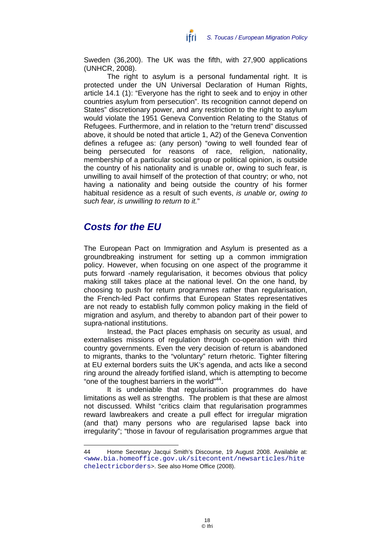Sweden (36,200). The UK was the fifth, with 27,900 applications (UNHCR, 2008).

The right to asylum is a personal fundamental right. It is protected under the UN Universal Declaration of Human Rights, article 14.1 (1): "Everyone has the right to seek and to enjoy in other countries asylum from persecution". Its recognition cannot depend on States" discretionary power, and any restriction to the right to asylum would violate the 1951 Geneva Convention Relating to the Status of Refugees. Furthermore, and in relation to the "return trend" discussed above, it should be noted that article 1, A2) of the Geneva Convention defines a refugee as: (any person) "owing to well founded fear of being persecuted for reasons of race, religion, nationality, membership of a particular social group or political opinion, is outside the country of his nationality and is unable or, owing to such fear, is unwilling to avail himself of the protection of that country; or who, not having a nationality and being outside the country of his former habitual residence as a result of such events, *is unable or, owing to such fear, is unwilling to return to it.*"

## *Costs for the EU*

 $\overline{a}$ 

The European Pact on Immigration and Asylum is presented as a groundbreaking instrument for setting up a common immigration policy. However, when focusing on one aspect of the programme it puts forward -namely regularisation, it becomes obvious that policy making still takes place at the national level. On the one hand, by choosing to push for return programmes rather than regularisation, the French-led Pact confirms that European States representatives are not ready to establish fully common policy making in the field of migration and asylum, and thereby to abandon part of their power to supra-national institutions.

Instead, the Pact places emphasis on security as usual, and externalises missions of regulation through co-operation with third country governments. Even the very decision of return is abandoned to migrants, thanks to the "voluntary" return rhetoric. Tighter filtering at EU external borders suits the UK's agenda, and acts like a second ring around the already fortified island, which is attempting to become "one of the toughest barriers in the world"<sup>44</sup>.

It is undeniable that regularisation programmes do have limitations as well as strengths. The problem is that these are almost not discussed. Whilst "critics claim that regularisation programmes reward lawbreakers and create a pull effect for irregular migration (and that) many persons who are regularised lapse back into irregularity"; "those in favour of regularisation programmes argue that

<sup>44</sup> Home Secretary Jacqui Smith's Discourse, 19 August 2008. Available at: <www.bia.homeoffice.gov.uk/sitecontent/newsarticles/hite chelectricborders>. See also Home Office (2008).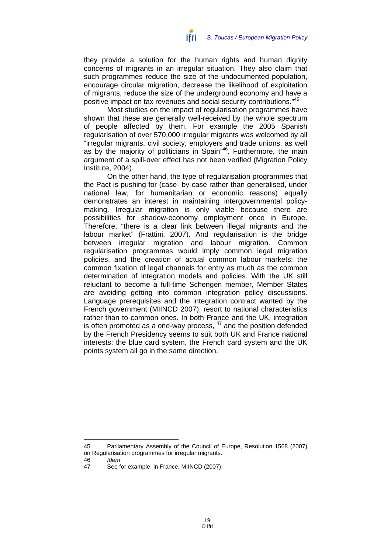they provide a solution for the human rights and human dignity concerns of migrants in an irregular situation. They also claim that such programmes reduce the size of the undocumented population, encourage circular migration, decrease the likelihood of exploitation of migrants, reduce the size of the underground economy and have a positive impact on tax revenues and social security contributions."45

Most studies on the impact of regularisation programmes have shown that these are generally well-received by the whole spectrum of people affected by them. For example the 2005 Spanish regularisation of over 570,000 irregular migrants was welcomed by all "irregular migrants, civil society, employers and trade unions, as well as by the majority of politicians in Spain<sup>n46</sup>. Furthermore, the main argument of a spill-over effect has not been verified (Migration Policy Institute, 2004).

On the other hand, the type of regularisation programmes that the Pact is pushing for (case- by-case rather than generalised, under national law, for humanitarian or economic reasons) equally demonstrates an interest in maintaining intergovernmental policymaking. Irregular migration is only viable because there are possibilities for shadow-economy employment once in Europe. Therefore, "there is a clear link between illegal migrants and the labour market" (Frattini, 2007). And regularisation is the bridge between irregular migration and labour migration. Common regularisation programmes would imply common legal migration policies, and the creation of actual common labour markets: the common fixation of legal channels for entry as much as the common determination of integration models and policies. With the UK still reluctant to become a full-time Schengen member, Member States are avoiding getting into common integration policy discussions. Language prerequisites and the integration contract wanted by the French government (MIINCD 2007), resort to national characteristics rather than to common ones. In both France and the UK, integration is often promoted as a one-way process, <sup>47</sup> and the position defended by the French Presidency seems to suit both UK and France national interests: the blue card system, the French card system and the UK points system all go in the same direction.

 $\overline{a}$ 

<sup>45</sup> Parliamentary Assembly of the Council of Europe, Resolution 1568 (2007) on Regularisation programmes for irregular migrants.

<sup>46</sup> *Idem*.

<sup>47</sup> See for example, in France, MIINCD (2007).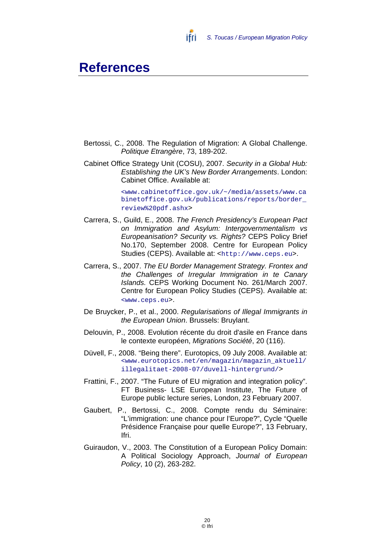

## **References**

- Bertossi, C., 2008. The Regulation of Migration: A Global Challenge. *Politique Etrangère*, 73, 189-202.
- Cabinet Office Strategy Unit (COSU), 2007. *Security in a Global Hub: Establishing the UK's New Border Arrangements*. London: Cabinet Office. Available at:

<www.cabinetoffice.gov.uk/~/media/assets/www.ca binetoffice.gov.uk/publications/reports/border\_ review%20pdf.ashx>

- Carrera, S., Guild, E., 2008. *The French Presidency's European Pact on Immigration and Asylum: Intergovernmentalism vs Europeanisation? Security vs. Rights?* CEPS Policy Brief No.170, September 2008. Centre for European Policy Studies (CEPS). Available at: <http://www.ceps.eu>.
- Carrera, S., 2007. *The EU Border Management Strategy. Frontex and the Challenges of Irregular Immigration in te Canary Islands.* CEPS Working Document No. 261/March 2007. Centre for European Policy Studies (CEPS). Available at: <www.ceps.eu>.
- De Bruycker, P., et al., 2000. *Regularisations of Illegal Immigrants in the European Union*. Brussels: Bruylant.
- Delouvin, P., 2008. Evolution récente du droit d'asile en France dans le contexte européen, *Migrations Société*, 20 (116).
- Düvell, F., 2008. "Being there". Eurotopics, 09 July 2008. Available at: <www.eurotopics.net/en/magazin/magazin\_aktuell/ illegalitaet-2008-07/duvell-hintergrund/>
- Frattini, F., 2007. "The Future of EU migration and integration policy". FT Business- LSE European Institute, The Future of Europe public lecture series, London, 23 February 2007.
- Gaubert, P., Bertossi, C., 2008. Compte rendu du Séminaire: "L'immigration: une chance pour l'Europe?", Cycle "Quelle Présidence Française pour quelle Europe?", 13 February, Ifri.
- Guiraudon, V., 2003. The Constitution of a European Policy Domain: A Political Sociology Approach, *Journal of European Policy*, 10 (2), 263-282.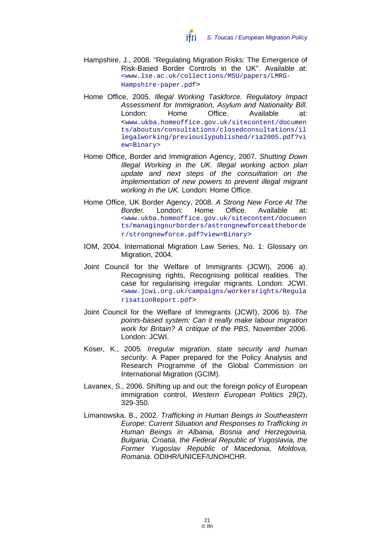- Hampshire, J., 2008. "Regulating Migration Risks: The Emergence of Risk-Based Border Controls in the UK". Available at: <www.lse.ac.uk/collections/MSU/papers/LMRG-Hampshire-paper.pdf>
- Home Office, 2005. *Illegal Working Taskforce. Regulatory Impact Assessment for Immigration, Asylum and Nationality Bill*. London: Home Office. Available at: <www.ukba.homeoffice.gov.uk/sitecontent/documen ts/aboutus/consultations/closedconsultations/il legalworking/previouslypublished/ria2005.pdf?vi ew=Binary>
- Home Office, Border and Immigration Agency, 2007. *Shutting Down Illegal Working in the UK. Illegal working action plan update and next steps of the consuiltation on the implementation of new powers to prevent illegal migrant working in the UK.* London: Home Office.
- Home Office, UK Border Agency, 2008. *A Strong New Force At The Border*. London: Home Office. Available at: <www.ukba.homeoffice.gov.uk/sitecontent/documen ts/managingourborders/astrongnewforceattheborde r/strongnewforce.pdf?view=Binary>
- IOM, 2004. International Migration Law Series, No. 1: Glossary on Migration, 2004.
- Joint Council for the Welfare of Immigrants (JCWI), 2006 a). Recognising rights, Recognising political realities. The case for regularising irregular migrants. London: JCWI. <www.jcwi.org.uk/campaigns/workersrights/Regula risationReport.pdf>
- Joint Council for the Welfare of Immigrants (JCWI), 2006 b). *The points-based system: Can it really make labour migration work for Britain? A critique of the PBS*, November 2006. London: JCWI.
- Koser, K., 2005*. Irregular migration, state security and human security*. A Paper prepared for the Policy Analysis and Research Programme of the Global Commission on International Migration (GCIM).
- Lavanex, S., 2006. Shifting up and out: the foreign policy of European immigration control, *Western European Politics* 29(2), 329-350.
- Limanowska, B., 2002. *Trafficking in Human Beings in Southeastern Europe: Current Situation and Responses to Trafficking in Human Beings in Albania, Bosnia and Herzegovina, Bulgaria, Croatia, the Federal Republic of Yugoslavia, the Former Yugoslav Republic of Macedonia, Moldova, Romania*. ODIHR/UNICEF/UNOHCHR.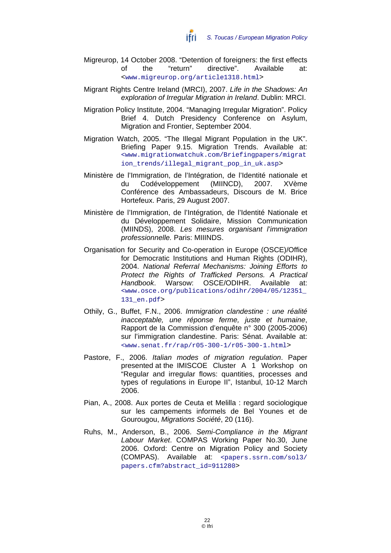- Migreurop, 14 October 2008. "Detention of foreigners: the first effects of the "return" directive". Available at: <www.migreurop.org/article1318.html>
- Migrant Rights Centre Ireland (MRCI), 2007. *Life in the Shadows: An exploration of Irregular Migration in Ireland*. Dublin: MRCI.
- Migration Policy Institute, 2004. "Managing Irregular Migration". Policy Brief 4. Dutch Presidency Conference on Asylum, Migration and Frontier, September 2004.
- Migration Watch, 2005. "The Illegal Migrant Population in the UK". Briefing Paper 9.15. Migration Trends. Available at: <www.migrationwatchuk.com/Briefingpapers/migrat ion trends/illegal migrant pop in uk.asp>
- Ministère de l'Immigration, de l'Intégration, de l'Identité nationale et du Codéveloppement (MIINCD), 2007. XVème Conférence des Ambassadeurs, Discours de M. Brice Hortefeux. Paris, 29 August 2007.
- Ministère de l'Immigration, de l'Intégration, de l'Identité Nationale et du Développement Solidaire, Mission Communication (MIINDS), 2008. *Les mesures organisant l'immigration professionnelle.* Paris: MIIINDS.
- Organisation for Security and Co-operation in Europe (OSCE)/Office for Democratic Institutions and Human Rights (ODIHR), 2004. *National Referral Mechanisms: Joining Efforts to Protect the Rights of Trafficked Persons. A Practical Handbook*. Warsow: OSCE/ODIHR. Available at: <www.osce.org/publications/odihr/2004/05/12351\_ 131\_en.pdf>
- Othily, G., Buffet, F.N., 2006. *Immigration clandestine : une réalité inacceptable, une réponse ferme, juste et humaine*, Rapport de la Commission d'enquête n° 300 (2005-2006) sur l'immigration clandestine. Paris: Sénat. Available at: <www.senat.fr/rap/r05-300-1/r05-300-1.html>
- Pastore, F., 2006. *Italian modes of migration regulation*. Paper presented at the IMISCOE Cluster A 1 Workshop on "Regular and irregular flows: quantities, processes and types of regulations in Europe II", Istanbul, 10-12 March 2006.
- Pian, A., 2008. Aux portes de Ceuta et Melilla : regard sociologique sur les campements informels de Bel Younes et de Gourougou, *Migrations Société*, 20 (116).
- Ruhs, M., Anderson, B., 2006. *Semi-Compliance in the Migrant Labour Market*. COMPAS Working Paper No.30, June 2006. Oxford: Centre on Migration Policy and Society (COMPAS). Available at: <papers.ssrn.com/sol3/ papers.cfm?abstract\_id=911280>